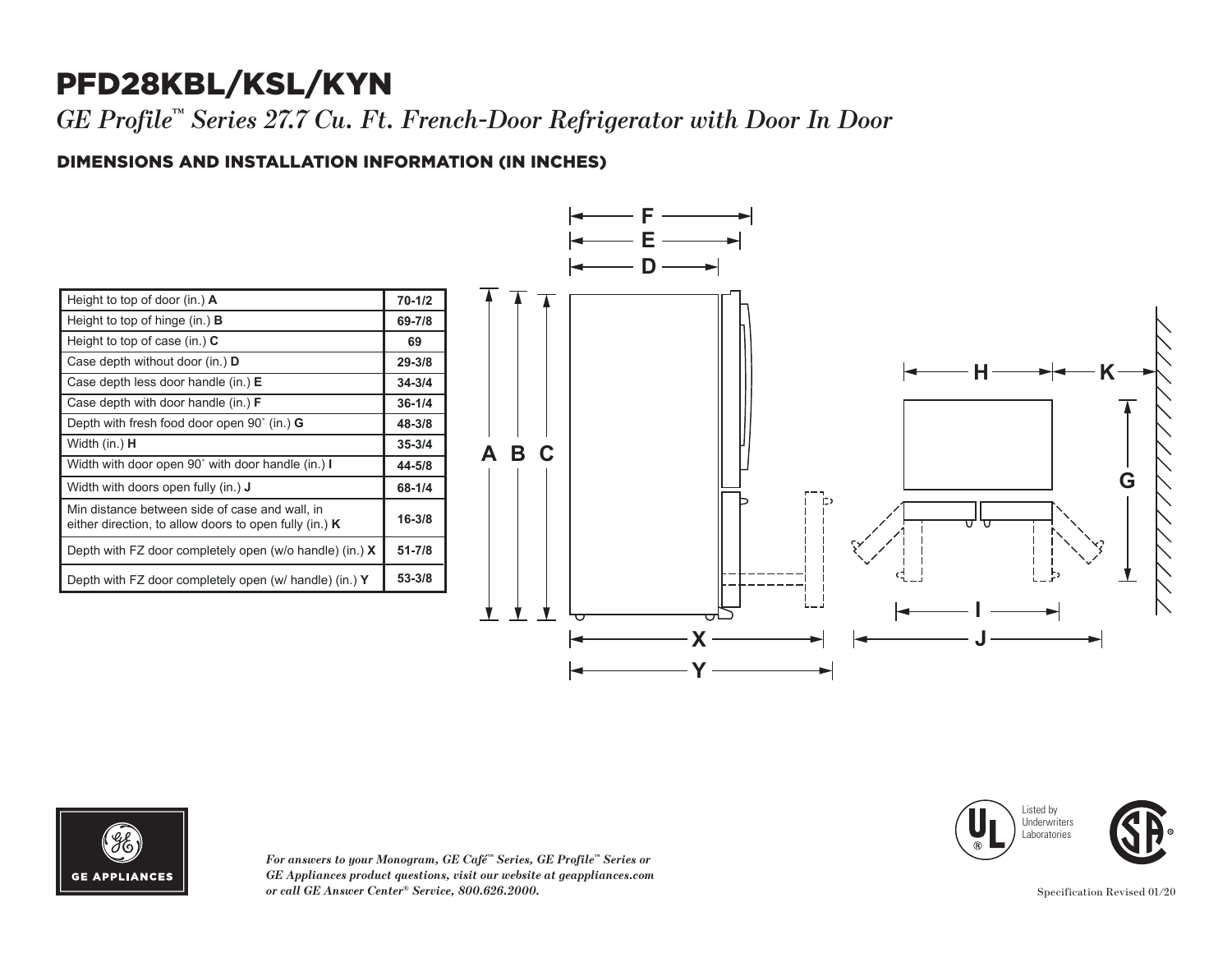## PFD28KBL/KSL/KYN

*GE Profile™ Series 27.7 Cu. Ft. French-Door Refrigerator with Door In Door*

### DIMENSIONS AND INSTALLATION INFORMATION (IN INCHES) **I**

| Height to top of door (in.) $\bf{A}$                                                                       | $70 - 1/2$ |
|------------------------------------------------------------------------------------------------------------|------------|
| Height to top of hinge (in.) $\bf{B}$                                                                      | 69-7/8     |
| Height to top of case (in.) $C$                                                                            | 69         |
| Case depth without door (in.) D                                                                            | $29 - 3/8$ |
| Case depth less door handle (in.) $E$                                                                      | $34 - 3/4$ |
| Case depth with door handle (in.) $F$                                                                      | $36 - 1/4$ |
| Depth with fresh food door open $90^{\circ}$ (in.) G                                                       | 48-3/8     |
| Width (in.) <b>H</b>                                                                                       | $35 - 3/4$ |
| Width with door open 90° with door handle (in.) I                                                          | 44-5/8     |
| Width with doors open fully (in.) <b>J</b>                                                                 | 68-1/4     |
| Min distance between side of case and wall, in<br>either direction, to allow doors to open fully (in.) $K$ | $16 - 3/8$ |
| Depth with FZ door completely open (w/o handle) (in.) $X$                                                  | $51 - 7/8$ |
| Depth with FZ door completely open (w/ handle) (in.) Y                                                     | 53-3/8     |





*For answers to your Monogram, GE Café™ Series, GE Profile™ Series or GE Appliances product questions, visit our website at geappliances.com or call GE Answer Center® Service, 800.626.2000.* Specification Revised 01/20